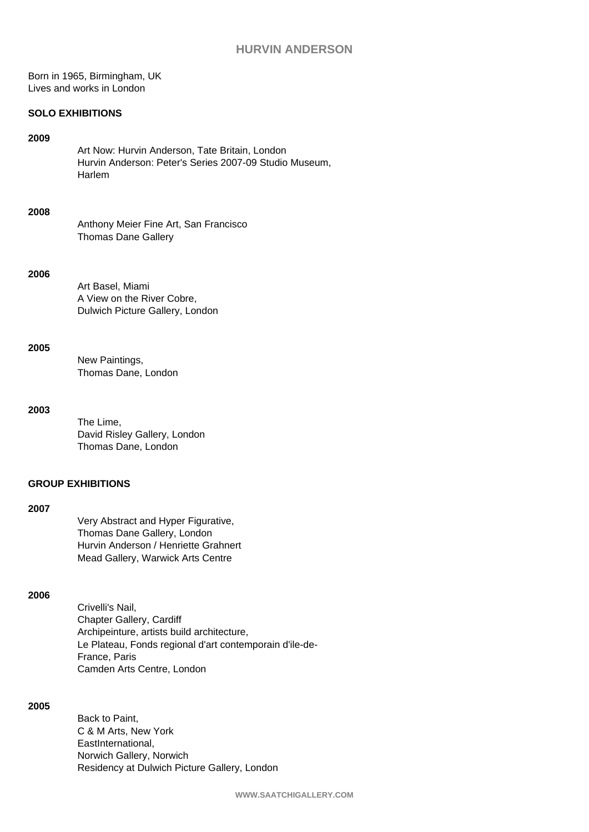Born in 1965, Birmingham, UK Lives and works in London

#### **SOLO EXHIBITIONS**

#### **2009**

Art Now: Hurvin Anderson, Tate Britain, London Hurvin Anderson: Peter's Series 2007-09 Studio Museum, Harlem

#### **2008**

Anthony Meier Fine Art, San Francisco Thomas Dane Gallery

#### **2006**

Art Basel, Miami A View on the River Cobre, Dulwich Picture Gallery, London

#### **2005**

New Paintings, Thomas Dane, London

### **2003**

The Lime, David Risley Gallery, London Thomas Dane, London

## **GROUP EXHIBITIONS**

### **2007**

Very Abstract and Hyper Figurative, Thomas Dane Gallery, London Hurvin Anderson / Henriette Grahnert Mead Gallery, Warwick Arts Centre

### **2006**

Crivelli's Nail, Chapter Gallery, Cardiff Archipeinture, artists build architecture, Le Plateau, Fonds regional d'art contemporain d'ile-de-France, Paris Camden Arts Centre, London

### **2005**

Back to Paint, C & M Arts, New York EastInternational, Norwich Gallery, Norwich Residency at Dulwich Picture Gallery, London